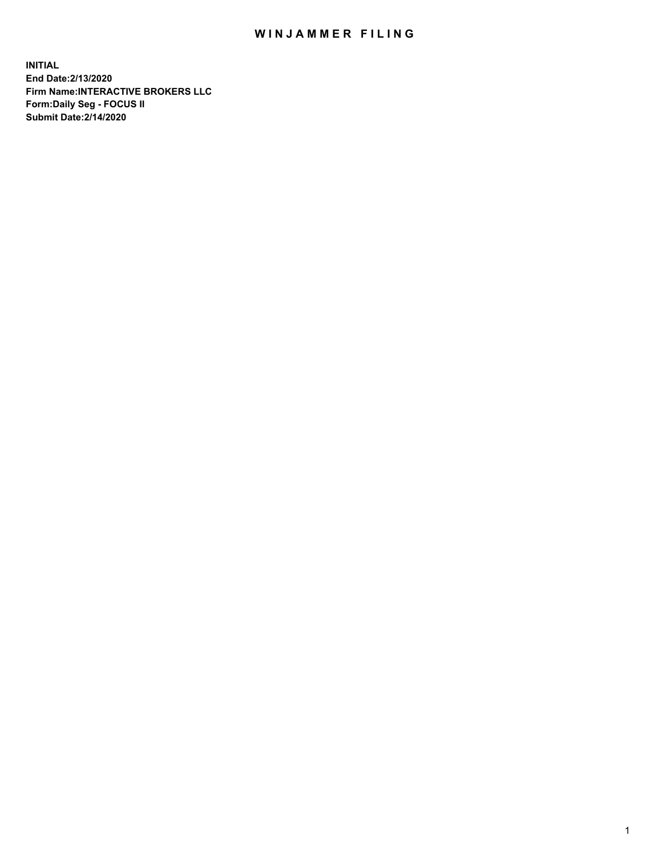## WIN JAMMER FILING

**INITIAL End Date:2/13/2020 Firm Name:INTERACTIVE BROKERS LLC Form:Daily Seg - FOCUS II Submit Date:2/14/2020**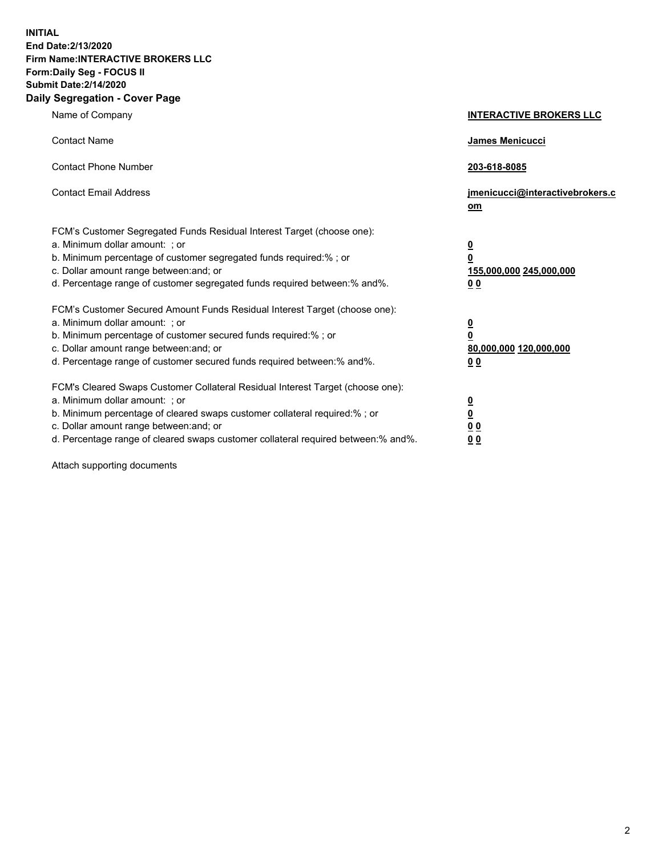**INITIAL End Date:2/13/2020 Firm Name:INTERACTIVE BROKERS LLC Form:Daily Seg - FOCUS II Submit Date:2/14/2020 Daily Segregation - Cover Page**

| Name of Company                                                                                                                                                                                                                                                                                                                  | <b>INTERACTIVE BROKERS LLC</b>                                                                  |
|----------------------------------------------------------------------------------------------------------------------------------------------------------------------------------------------------------------------------------------------------------------------------------------------------------------------------------|-------------------------------------------------------------------------------------------------|
| <b>Contact Name</b>                                                                                                                                                                                                                                                                                                              | <b>James Menicucci</b>                                                                          |
| <b>Contact Phone Number</b>                                                                                                                                                                                                                                                                                                      | 203-618-8085                                                                                    |
| <b>Contact Email Address</b>                                                                                                                                                                                                                                                                                                     | jmenicucci@interactivebrokers.c<br>om                                                           |
| FCM's Customer Segregated Funds Residual Interest Target (choose one):<br>a. Minimum dollar amount: ; or<br>b. Minimum percentage of customer segregated funds required:% ; or<br>c. Dollar amount range between: and; or<br>d. Percentage range of customer segregated funds required between:% and%.                           | $\overline{\mathbf{0}}$<br>$\overline{\mathbf{0}}$<br>155,000,000 245,000,000<br>0 <sub>0</sub> |
| FCM's Customer Secured Amount Funds Residual Interest Target (choose one):<br>a. Minimum dollar amount: ; or<br>b. Minimum percentage of customer secured funds required:% ; or<br>c. Dollar amount range between: and; or<br>d. Percentage range of customer secured funds required between:% and%.                             | <u>0</u><br>$\overline{\mathbf{0}}$<br>80,000,000 120,000,000<br><u>00</u>                      |
| FCM's Cleared Swaps Customer Collateral Residual Interest Target (choose one):<br>a. Minimum dollar amount: ; or<br>b. Minimum percentage of cleared swaps customer collateral required:% ; or<br>c. Dollar amount range between: and; or<br>d. Percentage range of cleared swaps customer collateral required between: % and %. | <u>0</u><br>$\underline{\mathbf{0}}$<br>0 <sub>0</sub><br>0 <sub>0</sub>                        |

Attach supporting documents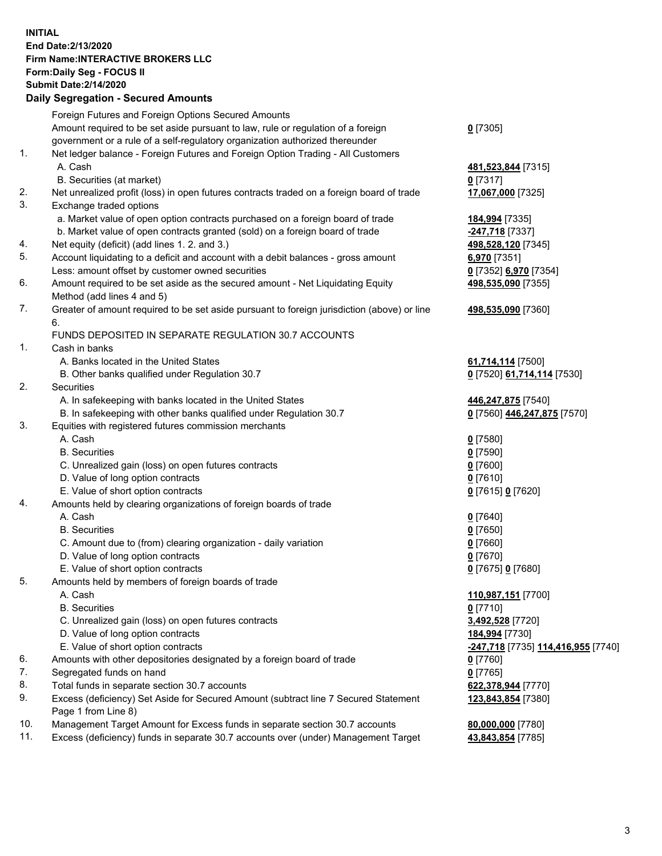## **INITIAL End Date:2/13/2020 Firm Name:INTERACTIVE BROKERS LLC Form:Daily Seg - FOCUS II Submit Date:2/14/2020 Daily Segregation - Secured Amounts**

|     | Daily Segregation - Secured Amounts                                                         |                                                                 |
|-----|---------------------------------------------------------------------------------------------|-----------------------------------------------------------------|
|     | Foreign Futures and Foreign Options Secured Amounts                                         |                                                                 |
|     | Amount required to be set aside pursuant to law, rule or regulation of a foreign            | $0$ [7305]                                                      |
|     | government or a rule of a self-regulatory organization authorized thereunder                |                                                                 |
| 1.  | Net ledger balance - Foreign Futures and Foreign Option Trading - All Customers             |                                                                 |
|     | A. Cash                                                                                     | 481,523,844 [7315]                                              |
|     | B. Securities (at market)                                                                   | $0$ [7317]                                                      |
| 2.  | Net unrealized profit (loss) in open futures contracts traded on a foreign board of trade   | 17,067,000 [7325]                                               |
| 3.  | Exchange traded options                                                                     |                                                                 |
|     | a. Market value of open option contracts purchased on a foreign board of trade              | 184,994 [7335]                                                  |
|     | b. Market value of open contracts granted (sold) on a foreign board of trade                | -247,718 [7337]                                                 |
| 4.  | Net equity (deficit) (add lines 1. 2. and 3.)                                               | 498,528,120 [7345]                                              |
| 5.  | Account liquidating to a deficit and account with a debit balances - gross amount           | 6,970 [7351]                                                    |
|     | Less: amount offset by customer owned securities                                            | 0 [7352] 6,970 [7354]                                           |
| 6.  | Amount required to be set aside as the secured amount - Net Liquidating Equity              | 498,535,090 [7355]                                              |
|     | Method (add lines 4 and 5)                                                                  |                                                                 |
| 7.  | Greater of amount required to be set aside pursuant to foreign jurisdiction (above) or line | 498,535,090 [7360]                                              |
|     | 6.                                                                                          |                                                                 |
|     | FUNDS DEPOSITED IN SEPARATE REGULATION 30.7 ACCOUNTS                                        |                                                                 |
| 1.  | Cash in banks                                                                               |                                                                 |
|     | A. Banks located in the United States                                                       | 61,714,114 [7500]                                               |
|     | B. Other banks qualified under Regulation 30.7                                              | 0 [7520] 61,714,114 [7530]                                      |
| 2.  | Securities                                                                                  |                                                                 |
|     | A. In safekeeping with banks located in the United States                                   | 446,247,875 [7540]                                              |
|     | B. In safekeeping with other banks qualified under Regulation 30.7                          | 0 [7560] 446,247,875 [7570]                                     |
| 3.  | Equities with registered futures commission merchants                                       |                                                                 |
|     | A. Cash                                                                                     | $0$ [7580]                                                      |
|     | <b>B.</b> Securities                                                                        | $0$ [7590]                                                      |
|     | C. Unrealized gain (loss) on open futures contracts                                         | $0$ [7600]                                                      |
|     | D. Value of long option contracts                                                           | $0$ [7610]                                                      |
|     | E. Value of short option contracts                                                          | 0 [7615] 0 [7620]                                               |
| 4.  | Amounts held by clearing organizations of foreign boards of trade                           |                                                                 |
|     | A. Cash                                                                                     | $0$ [7640]                                                      |
|     | <b>B.</b> Securities                                                                        | $0$ [7650]                                                      |
|     | C. Amount due to (from) clearing organization - daily variation                             | $0$ [7660]                                                      |
|     | D. Value of long option contracts                                                           | $0$ [7670]                                                      |
|     | E. Value of short option contracts                                                          | 0 [7675] 0 [7680]                                               |
| 5.  | Amounts held by members of foreign boards of trade                                          |                                                                 |
|     | A. Cash                                                                                     | 110,987,151 [7700]                                              |
|     | <b>B.</b> Securities                                                                        | $0$ [7710]                                                      |
|     | C. Unrealized gain (loss) on open futures contracts                                         | 3,492,528 [7720]                                                |
|     | D. Value of long option contracts                                                           | 184,994 [7730]                                                  |
|     | E. Value of short option contracts                                                          | <u>-<b>247,718</b> [</u> 7735] <u><b>114,416,955 [7740]</b></u> |
| 6.  | Amounts with other depositories designated by a foreign board of trade                      | $0$ [7760]                                                      |
| 7.  | Segregated funds on hand                                                                    | $0$ [7765]                                                      |
| 8.  | Total funds in separate section 30.7 accounts                                               | 622,378,944 [7770]                                              |
| 9.  | Excess (deficiency) Set Aside for Secured Amount (subtract line 7 Secured Statement         | 123,843,854 [7380]                                              |
|     | Page 1 from Line 8)                                                                         |                                                                 |
| 10. | Management Target Amount for Excess funds in separate section 30.7 accounts                 | 80,000,000 [7780]                                               |
| 11. | Excess (deficiency) funds in separate 30.7 accounts over (under) Management Target          | 43,843,854 [7785]                                               |
|     |                                                                                             |                                                                 |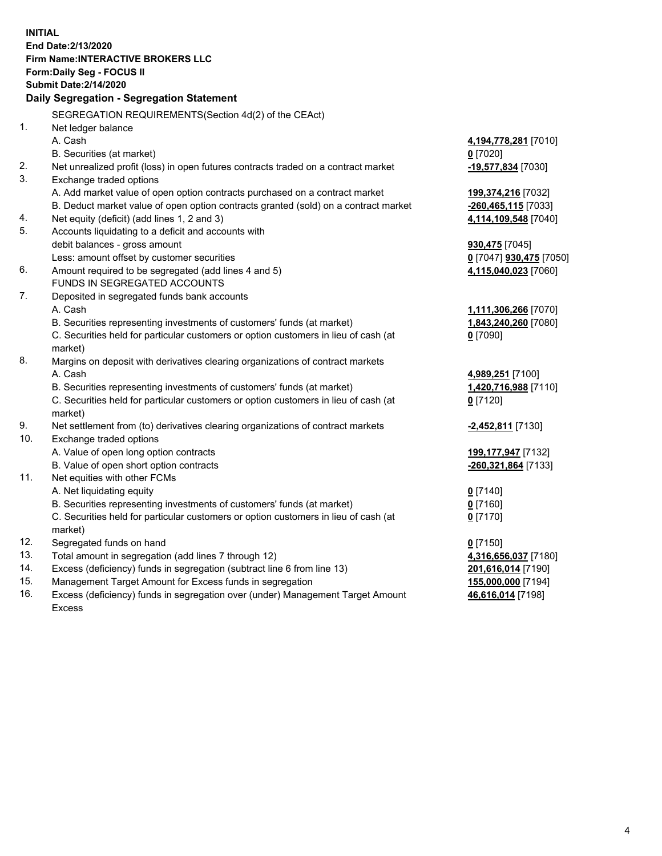**INITIAL End Date:2/13/2020 Firm Name:INTERACTIVE BROKERS LLC Form:Daily Seg - FOCUS II Submit Date:2/14/2020 Daily Segregation - Segregation Statement** SEGREGATION REQUIREMENTS(Section 4d(2) of the CEAct) 1. Net ledger balance A. Cash **4,194,778,281** [7010] B. Securities (at market) **0** [7020] 2. Net unrealized profit (loss) in open futures contracts traded on a contract market **-19,577,834** [7030] 3. Exchange traded options A. Add market value of open option contracts purchased on a contract market **199,374,216** [7032] B. Deduct market value of open option contracts granted (sold) on a contract market **-260,465,115** [7033] 4. Net equity (deficit) (add lines 1, 2 and 3) **4,114,109,548** [7040] 5. Accounts liquidating to a deficit and accounts with debit balances - gross amount **930,475** [7045] Less: amount offset by customer securities **0** [7047] **930,475** [7050] 6. Amount required to be segregated (add lines 4 and 5) **4,115,040,023** [7060] FUNDS IN SEGREGATED ACCOUNTS 7. Deposited in segregated funds bank accounts A. Cash **1,111,306,266** [7070] B. Securities representing investments of customers' funds (at market) **1,843,240,260** [7080] C. Securities held for particular customers or option customers in lieu of cash (at market) **0** [7090] 8. Margins on deposit with derivatives clearing organizations of contract markets A. Cash **4,989,251** [7100] B. Securities representing investments of customers' funds (at market) **1,420,716,988** [7110] C. Securities held for particular customers or option customers in lieu of cash (at market) **0** [7120] 9. Net settlement from (to) derivatives clearing organizations of contract markets **-2,452,811** [7130] 10. Exchange traded options A. Value of open long option contracts **199,177,947** [7132] B. Value of open short option contracts **-260,321,864** [7133] 11. Net equities with other FCMs A. Net liquidating equity **0** [7140] B. Securities representing investments of customers' funds (at market) **0** [7160] C. Securities held for particular customers or option customers in lieu of cash (at market) **0** [7170] 12. Segregated funds on hand **0** [7150] 13. Total amount in segregation (add lines 7 through 12) **4,316,656,037** [7180] 14. Excess (deficiency) funds in segregation (subtract line 6 from line 13) **201,616,014** [7190] 15. Management Target Amount for Excess funds in segregation **155,000,000** [7194] **46,616,014** [7198]

16. Excess (deficiency) funds in segregation over (under) Management Target Amount Excess